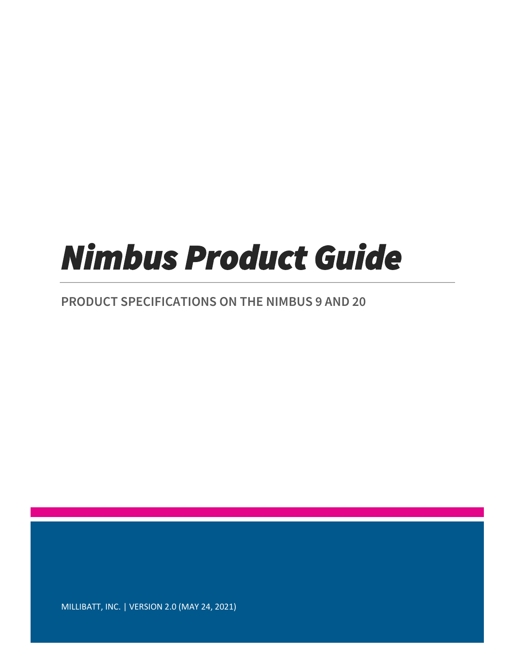# *Nimbus Product Guide*

### **PRODUCT SPECIFICATIONS ON THE NIMBUS 9 AND 20**

MILLIBATT, INC. | VERSION 2.0 (MAY 24, 2021)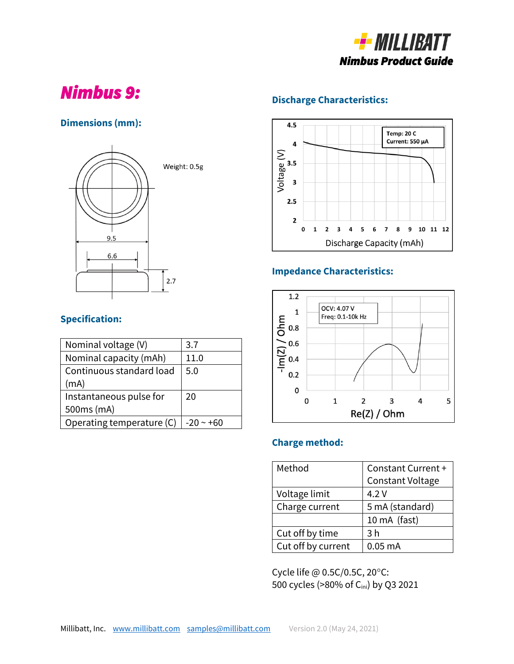

# *Nimbus 9:*

### **Dimensions (mm):**



### **Specification:**

| Nominal voltage (V)       | 3.7        |
|---------------------------|------------|
| Nominal capacity (mAh)    | 11.0       |
| Continuous standard load  | 5.0        |
| (mA)                      |            |
| Instantaneous pulse for   | 20         |
| 500ms (mA)                |            |
| Operating temperature (C) | $-20 - 60$ |

### **Discharge Characteristics:**



### **Impedance Characteristics:**



### **Charge method:**

| Method             | Constant Current +      |  |  |
|--------------------|-------------------------|--|--|
|                    | <b>Constant Voltage</b> |  |  |
| Voltage limit      | 4.2V                    |  |  |
| Charge current     | 5 mA (standard)         |  |  |
|                    | 10 mA (fast)            |  |  |
| Cut off by time    | 3 <sub>h</sub>          |  |  |
| Cut off by current | $0.05$ mA               |  |  |

Cycle life @ 0.5C/0.5C, 20°C: 500 cycles (>80% of Cini) by Q3 2021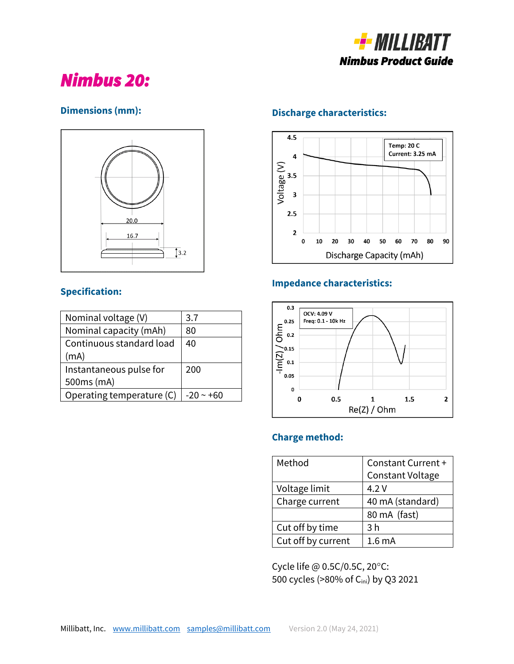

## *Nimbus 20:*

### **Dimensions (mm):**



### **Specification:**

| Nominal voltage (V)       | 3.7         |
|---------------------------|-------------|
| Nominal capacity (mAh)    | 80          |
| Continuous standard load  | 40          |
| (mA)                      |             |
| Instantaneous pulse for   | 200         |
| 500ms (mA)                |             |
| Operating temperature (C) | $-20 - +60$ |

### **Discharge characteristics:**



### **Impedance characteristics:**



#### **Charge method:**

| Method             | Constant Current +      |  |  |
|--------------------|-------------------------|--|--|
|                    | <b>Constant Voltage</b> |  |  |
| Voltage limit      | 4.2 V                   |  |  |
| Charge current     | 40 mA (standard)        |  |  |
|                    | 80 mA (fast)            |  |  |
| Cut off by time    | 3 <sub>h</sub>          |  |  |
| Cut off by current | 1.6 <sub>mA</sub>       |  |  |

Cycle life @ 0.5C/0.5C, 20°C: 500 cycles (>80% of Cini) by Q3 2021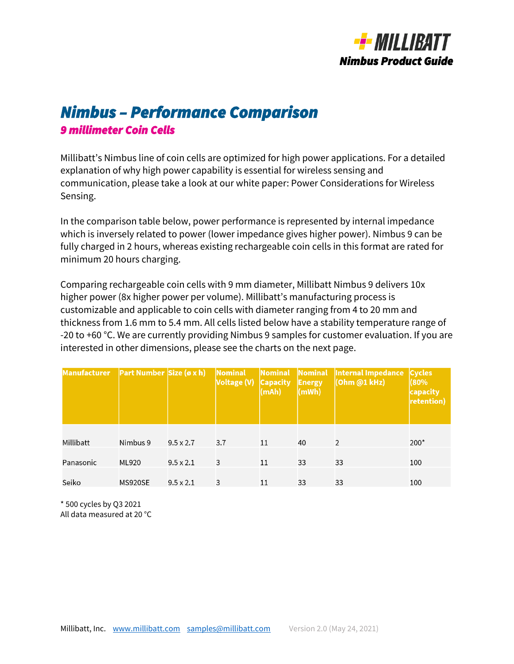

### *Nimbus – Performance Comparison 9 millimeter Coin Cells*

Millibatt's Nimbus line of coin cells are optimized for high power applications. For a detailed explanation of why high power capability is essential for wireless sensing and communication, please take a look at our white paper: Power Considerations for Wireless Sensing.

In the comparison table below, power performance is represented by internal impedance which is inversely related to power (lower impedance gives higher power). Nimbus 9 can be fully charged in 2 hours, whereas existing rechargeable coin cells in this format are rated for minimum 20 hours charging.

Comparing rechargeable coin cells with 9 mm diameter, Millibatt Nimbus 9 delivers 10x higher power (8x higher power per volume). Millibatt's manufacturing process is customizable and applicable to coin cells with diameter ranging from 4 to 20 mm and thickness from 1.6 mm to 5.4 mm. All cells listed below have a stability temperature range of -20 to +60 °C. We are currently providing Nimbus 9 samples for customer evaluation. If you are interested in other dimensions, please see the charts on the next page.

| Manufacturer | <b>Part Number Size (ø x h)</b> |                  | Nominal<br>Voltage (V) Capacity | Nominal<br>(mAh) | <b>Energy</b><br>(mWh) | Nominal  Internal Impedance   Cycles<br>(Ohm @1 kHz) | (80%<br>capacity<br>retention) |
|--------------|---------------------------------|------------------|---------------------------------|------------------|------------------------|------------------------------------------------------|--------------------------------|
| Millibatt    | Nimbus 9                        | $9.5 \times 2.7$ | 3.7                             | 11               | 40                     | 2                                                    | $200*$                         |
| Panasonic    | ML920                           | $9.5 \times 2.1$ | 3                               | 11               | 33                     | 33                                                   | 100                            |
| Seiko        | MS920SE                         | $9.5 \times 2.1$ | 3                               | 11               | 33                     | 33                                                   | 100                            |

\* 500 cycles by Q3 2021

All data measured at 20 °C